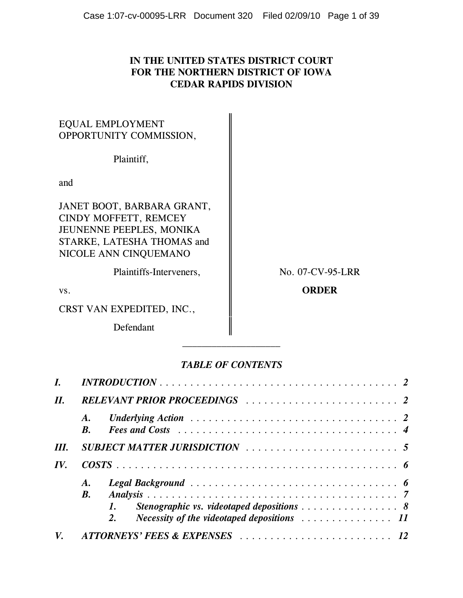# **IN THE UNITED STATES DISTRICT COURT FOR THE NORTHERN DISTRICT OF IOWA CEDAR RAPIDS DIVISION**

# EQUAL EMPLOYMENT OPPORTUNITY COMMISSION,

Plaintiff,

and

JANET BOOT, BARBARA GRANT, CINDY MOFFETT, REMCEY JEUNENNE PEEPLES, MONIKA STARKE, LATESHA THOMAS and NICOLE ANN CINQUEMANO

Plaintiffs-Interveners,  $\parallel$  No. 07-CV-95-LRR

CRST VAN EXPEDITED, INC.,

Defendant

vs. **CONDER** 

# *TABLE OF CONTENTS*

|      |                          | $INTRODUCTION \ldots \ldots \ldots \ldots \ldots \ldots \ldots \ldots \ldots \ldots \ldots \ldots 2$                                                                                                                                                                       |  |
|------|--------------------------|----------------------------------------------------------------------------------------------------------------------------------------------------------------------------------------------------------------------------------------------------------------------------|--|
| II.  |                          |                                                                                                                                                                                                                                                                            |  |
|      | A.<br>$\boldsymbol{B}$ . | Fees and Costs $\ldots \ldots \ldots \ldots \ldots \ldots \ldots \ldots \ldots \ldots \ldots$                                                                                                                                                                              |  |
| III. |                          |                                                                                                                                                                                                                                                                            |  |
| IV.  |                          |                                                                                                                                                                                                                                                                            |  |
|      | <b>B.</b>                | Legal Background $\ldots \ldots \ldots \ldots \ldots \ldots \ldots \ldots \ldots \ldots$<br>Stenographic vs. videotaped depositions $\ldots \ldots \ldots \ldots \ldots$ 8<br><i>Necessity of the videotaped depositions</i> $\ldots \ldots \ldots \ldots \ldots 11$<br>2. |  |
| V.   |                          |                                                                                                                                                                                                                                                                            |  |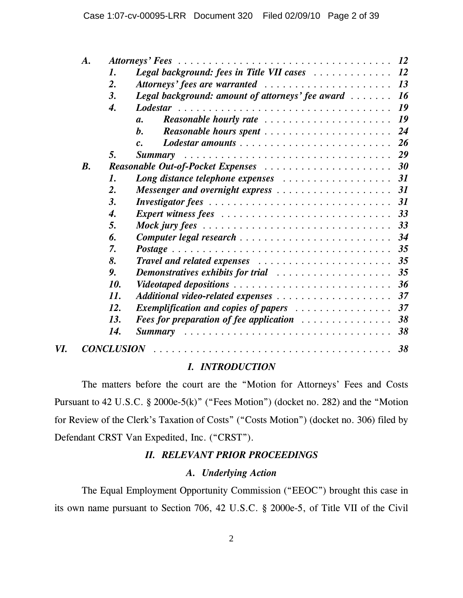|     | A.        |                   |                                                                                                                | <i>12</i> |
|-----|-----------|-------------------|----------------------------------------------------------------------------------------------------------------|-----------|
|     |           | 1.                | Legal background: fees in Title VII cases                                                                      | <b>12</b> |
|     |           | $\overline{2}$ .  |                                                                                                                |           |
|     |           | 3.                | <b>Legal background: amount of attorneys' fee award</b>                                                        | 16        |
|     |           | 4.                |                                                                                                                | 19        |
|     |           |                   | <b>Reasonable hourly rate</b><br>$\mathfrak{a}.$                                                               | 19        |
|     |           |                   | $\bm{h}$ .<br>Reasonable hours spent                                                                           | 24        |
|     |           |                   | Lodestar amounts<br>$\mathcal{C}$ .                                                                            | 26        |
|     |           | 5.                | <b>Summary</b>                                                                                                 | 29        |
|     | <b>B.</b> |                   |                                                                                                                |           |
|     |           | 1.                |                                                                                                                |           |
|     |           | 2.                | Messenger and overnight express                                                                                | <b>31</b> |
|     |           | 3.                |                                                                                                                | <b>31</b> |
|     |           | 4.                |                                                                                                                |           |
|     |           | 5.                | Mock jury fees $\ldots \ldots \ldots \ldots \ldots \ldots \ldots \ldots \ldots \ldots$                         | 33        |
|     |           | 6.                |                                                                                                                | 34        |
|     |           | 7.                |                                                                                                                | 35        |
|     |           | 8.                |                                                                                                                | 35        |
|     |           | 9.                | Demonstratives exhibits for trial contained and successive containing the monotonical contains a period of the | 35        |
|     |           | 10.               | Videotaped depositions                                                                                         | 36        |
|     |           | 11.               |                                                                                                                | 37        |
|     |           | 12.               |                                                                                                                | 37        |
|     |           | 13.               | Fees for preparation of fee application                                                                        | 38        |
|     |           | 14.               | <b>Summary</b>                                                                                                 | 38        |
| VI. |           | <b>CONCLUSION</b> |                                                                                                                | 38        |

# *I. INTRODUCTION*

The matters before the court are the "Motion for Attorneys' Fees and Costs Pursuant to 42 U.S.C. § 2000e-5(k)" ("Fees Motion") (docket no. 282) and the "Motion for Review of the Clerk's Taxation of Costs" ("Costs Motion") (docket no. 306) filed by Defendant CRST Van Expedited, Inc. ("CRST").

# *II. RELEVANT PRIOR PROCEEDINGS*

# *A. Underlying Action*

The Equal Employment Opportunity Commission ("EEOC") brought this case in its own name pursuant to Section 706, 42 U.S.C. § 2000e-5, of Title VII of the Civil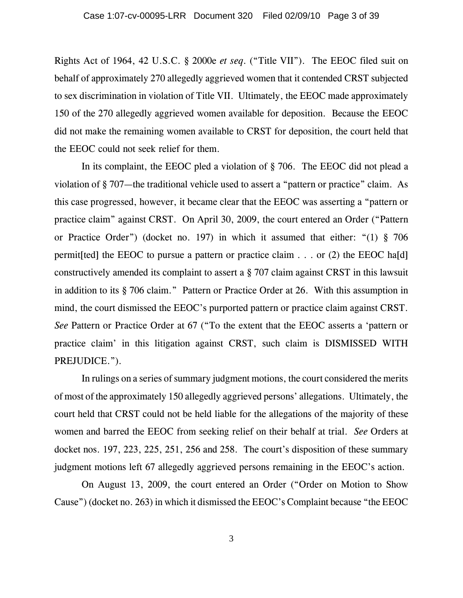Rights Act of 1964, 42 U.S.C. § 2000e *et seq*. ("Title VII"). The EEOC filed suit on behalf of approximately 270 allegedly aggrieved women that it contended CRST subjected to sex discrimination in violation of Title VII. Ultimately, the EEOC made approximately 150 of the 270 allegedly aggrieved women available for deposition. Because the EEOC did not make the remaining women available to CRST for deposition, the court held that the EEOC could not seek relief for them.

In its complaint, the EEOC pled a violation of § 706. The EEOC did not plead a violation of § 707—the traditional vehicle used to assert a "pattern or practice" claim. As this case progressed, however, it became clear that the EEOC was asserting a "pattern or practice claim" against CRST. On April 30, 2009, the court entered an Order ("Pattern or Practice Order") (docket no. 197) in which it assumed that either: "(1) § 706 permit [ted] the EEOC to pursue a pattern or practice claim  $\ldots$  or (2) the EEOC ha[d] constructively amended its complaint to assert a § 707 claim against CRST in this lawsuit in addition to its § 706 claim." Pattern or Practice Order at 26. With this assumption in mind, the court dismissed the EEOC's purported pattern or practice claim against CRST. *See* Pattern or Practice Order at 67 ("To the extent that the EEOC asserts a 'pattern or practice claim' in this litigation against CRST, such claim is DISMISSED WITH PREJUDICE.").

In rulings on a series of summary judgment motions, the court considered the merits of most of the approximately 150 allegedly aggrieved persons' allegations. Ultimately, the court held that CRST could not be held liable for the allegations of the majority of these women and barred the EEOC from seeking relief on their behalf at trial. *See* Orders at docket nos. 197, 223, 225, 251, 256 and 258. The court's disposition of these summary judgment motions left 67 allegedly aggrieved persons remaining in the EEOC's action.

On August 13, 2009, the court entered an Order ("Order on Motion to Show Cause") (docket no. 263) in which it dismissed the EEOC's Complaint because "the EEOC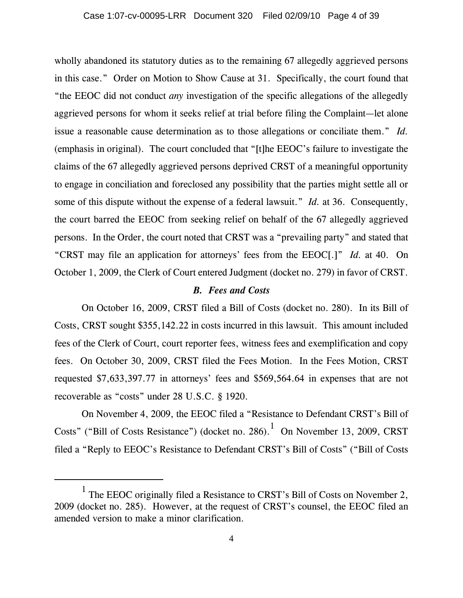wholly abandoned its statutory duties as to the remaining 67 allegedly aggrieved persons in this case." Order on Motion to Show Cause at 31. Specifically, the court found that "the EEOC did not conduct *any* investigation of the specific allegations of the allegedly aggrieved persons for whom it seeks relief at trial before filing the Complaint—let alone issue a reasonable cause determination as to those allegations or conciliate them." *Id.* (emphasis in original). The court concluded that "[t]he EEOC's failure to investigate the claims of the 67 allegedly aggrieved persons deprived CRST of a meaningful opportunity to engage in conciliation and foreclosed any possibility that the parties might settle all or some of this dispute without the expense of a federal lawsuit." *Id.* at 36. Consequently, the court barred the EEOC from seeking relief on behalf of the 67 allegedly aggrieved persons. In the Order, the court noted that CRST was a "prevailing party" and stated that "CRST may file an application for attorneys' fees from the EEOC[.]" *Id.* at 40. On October 1, 2009, the Clerk of Court entered Judgment (docket no. 279) in favor of CRST.

## *B. Fees and Costs*

On October 16, 2009, CRST filed a Bill of Costs (docket no. 280). In its Bill of Costs, CRST sought \$355,142.22 in costs incurred in this lawsuit. This amount included fees of the Clerk of Court, court reporter fees, witness fees and exemplification and copy fees. On October 30, 2009, CRST filed the Fees Motion. In the Fees Motion, CRST requested \$7,633,397.77 in attorneys' fees and \$569,564.64 in expenses that are not recoverable as "costs" under 28 U.S.C. § 1920.

On November 4, 2009, the EEOC filed a "Resistance to Defendant CRST's Bill of Costs" ("Bill of Costs Resistance") (docket no. 286). $1$  On November 13, 2009, CRST filed a "Reply to EEOC's Resistance to Defendant CRST's Bill of Costs" ("Bill of Costs

<sup>&</sup>lt;sup>1</sup> The EEOC originally filed a Resistance to CRST's Bill of Costs on November 2, 2009 (docket no. 285). However, at the request of CRST's counsel, the EEOC filed an amended version to make a minor clarification.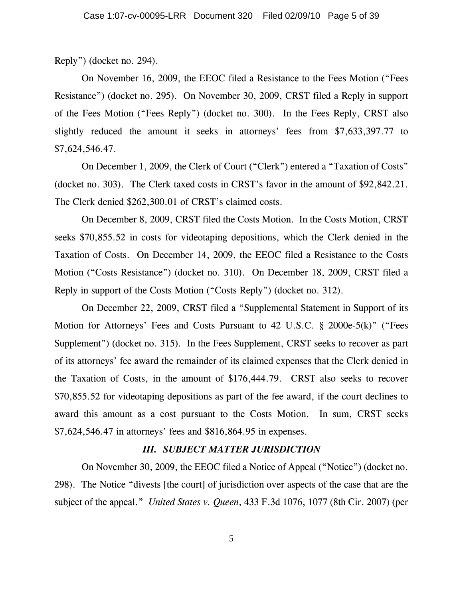Reply") (docket no. 294).

On November 16, 2009, the EEOC filed a Resistance to the Fees Motion ("Fees Resistance") (docket no. 295). On November 30, 2009, CRST filed a Reply in support of the Fees Motion ("Fees Reply") (docket no. 300). In the Fees Reply, CRST also slightly reduced the amount it seeks in attorneys' fees from \$7,633,397.77 to \$7,624,546.47.

On December 1, 2009, the Clerk of Court ("Clerk") entered a "Taxation of Costs" (docket no. 303). The Clerk taxed costs in CRST's favor in the amount of \$92,842.21. The Clerk denied \$262,300.01 of CRST's claimed costs.

On December 8, 2009, CRST filed the Costs Motion. In the Costs Motion, CRST seeks \$70,855.52 in costs for videotaping depositions, which the Clerk denied in the Taxation of Costs. On December 14, 2009, the EEOC filed a Resistance to the Costs Motion ("Costs Resistance") (docket no. 310). On December 18, 2009, CRST filed a Reply in support of the Costs Motion ("Costs Reply") (docket no. 312).

On December 22, 2009, CRST filed a "Supplemental Statement in Support of its Motion for Attorneys' Fees and Costs Pursuant to 42 U.S.C. § 2000e-5(k)" ("Fees Supplement") (docket no. 315). In the Fees Supplement, CRST seeks to recover as part of its attorneys' fee award the remainder of its claimed expenses that the Clerk denied in the Taxation of Costs, in the amount of \$176,444.79. CRST also seeks to recover \$70,855.52 for videotaping depositions as part of the fee award, if the court declines to award this amount as a cost pursuant to the Costs Motion. In sum, CRST seeks \$7,624,546.47 in attorneys' fees and \$816,864.95 in expenses.

#### *III. SUBJECT MATTER JURISDICTION*

On November 30, 2009, the EEOC filed a Notice of Appeal ("Notice") (docket no. 298). The Notice "divests [the court] of jurisdiction over aspects of the case that are the subject of the appeal." *United States v. Queen*, 433 F.3d 1076, 1077 (8th Cir. 2007) (per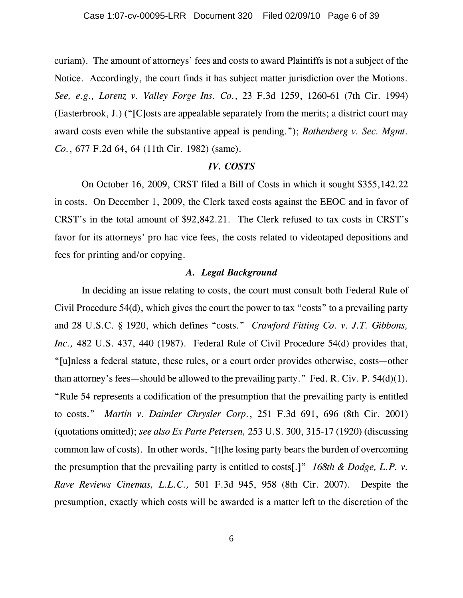curiam). The amount of attorneys' fees and costs to award Plaintiffs is not a subject of the Notice. Accordingly, the court finds it has subject matter jurisdiction over the Motions. *See, e.g., Lorenz v. Valley Forge Ins. Co.*, 23 F.3d 1259, 1260-61 (7th Cir. 1994) (Easterbrook, J.) ("[C]osts are appealable separately from the merits; a district court may award costs even while the substantive appeal is pending."); *Rothenberg v. Sec. Mgmt. Co.*, 677 F.2d 64, 64 (11th Cir. 1982) (same).

# *IV. COSTS*

On October 16, 2009, CRST filed a Bill of Costs in which it sought \$355,142.22 in costs. On December 1, 2009, the Clerk taxed costs against the EEOC and in favor of CRST's in the total amount of \$92,842.21. The Clerk refused to tax costs in CRST's favor for its attorneys' pro hac vice fees, the costs related to videotaped depositions and fees for printing and/or copying.

#### *A. Legal Background*

In deciding an issue relating to costs, the court must consult both Federal Rule of Civil Procedure 54(d), which gives the court the power to tax "costs" to a prevailing party and 28 U.S.C. § 1920, which defines "costs." *Crawford Fitting Co. v. J.T. Gibbons, Inc.*, 482 U.S. 437, 440 (1987). Federal Rule of Civil Procedure 54(d) provides that, "[u]nless a federal statute, these rules, or a court order provides otherwise, costs—other than attorney's fees—should be allowed to the prevailing party." Fed. R. Civ. P.  $54(d)(1)$ . "Rule 54 represents a codification of the presumption that the prevailing party is entitled to costs." *Martin v. Daimler Chrysler Corp.*, 251 F.3d 691, 696 (8th Cir. 2001) (quotations omitted); *see also Ex Parte Petersen,* 253 U.S. 300, 315-17 (1920) (discussing common law of costs). In other words, "[t]he losing party bears the burden of overcoming the presumption that the prevailing party is entitled to costs[.]" *168th & Dodge, L.P. v. Rave Reviews Cinemas, L.L.C.,* 501 F.3d 945, 958 (8th Cir. 2007). Despite the presumption, exactly which costs will be awarded is a matter left to the discretion of the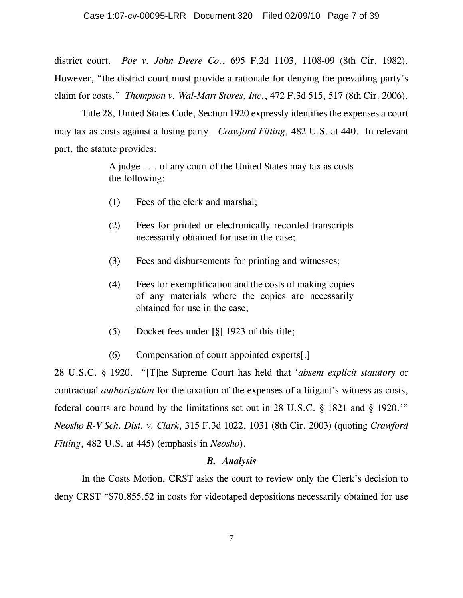district court. *Poe v. John Deere Co.*, 695 F.2d 1103, 1108-09 (8th Cir. 1982). However, "the district court must provide a rationale for denying the prevailing party's claim for costs." *Thompson v. Wal-Mart Stores, Inc.*, 472 F.3d 515, 517 (8th Cir. 2006).

Title 28, United States Code, Section 1920 expressly identifies the expenses a court may tax as costs against a losing party. *Crawford Fitting*, 482 U.S. at 440. In relevant part, the statute provides:

> A judge . . . of any court of the United States may tax as costs the following:

- (1) Fees of the clerk and marshal;
- (2) Fees for printed or electronically recorded transcripts necessarily obtained for use in the case;
- (3) Fees and disbursements for printing and witnesses;
- (4) Fees for exemplification and the costs of making copies of any materials where the copies are necessarily obtained for use in the case;
- (5) Docket fees under [§] 1923 of this title;
- (6) Compensation of court appointed experts[.]

28 U.S.C. § 1920. "[T]he Supreme Court has held that '*absent explicit statutory* or contractual *authorization* for the taxation of the expenses of a litigant's witness as costs, federal courts are bound by the limitations set out in 28 U.S.C. § 1821 and § 1920.'" *Neosho R-V Sch. Dist. v. Clark*, 315 F.3d 1022, 1031 (8th Cir. 2003) (quoting *Crawford Fitting*, 482 U.S. at 445) (emphasis in *Neosho*).

### *B. Analysis*

In the Costs Motion, CRST asks the court to review only the Clerk's decision to deny CRST "\$70,855.52 in costs for videotaped depositions necessarily obtained for use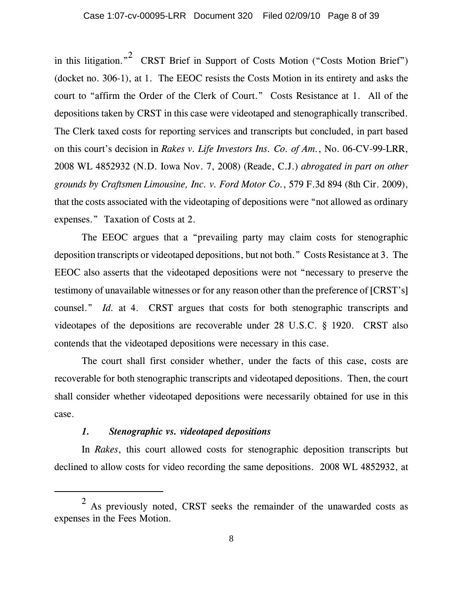in this litigation."<sup>2</sup> CRST Brief in Support of Costs Motion ("Costs Motion Brief") (docket no. 306-1), at 1. The EEOC resists the Costs Motion in its entirety and asks the court to "affirm the Order of the Clerk of Court." Costs Resistance at 1. All of the depositions taken by CRST in this case were videotaped and stenographically transcribed. The Clerk taxed costs for reporting services and transcripts but concluded, in part based on this court's decision in *Rakes v. Life Investors Ins. Co. of Am.*, No. 06-CV-99-LRR, 2008 WL 4852932 (N.D. Iowa Nov. 7, 2008) (Reade, C.J.) *abrogated in part on other grounds by Craftsmen Limousine, Inc. v. Ford Motor Co.*, 579 F.3d 894 (8th Cir. 2009), that the costs associated with the videotaping of depositions were "not allowed as ordinary expenses." Taxation of Costs at 2.

The EEOC argues that a "prevailing party may claim costs for stenographic deposition transcripts or videotaped depositions, but not both." Costs Resistance at 3. The EEOC also asserts that the videotaped depositions were not "necessary to preserve the testimony of unavailable witnesses or for any reason other than the preference of [CRST's] counsel." *Id.* at 4. CRST argues that costs for both stenographic transcripts and videotapes of the depositions are recoverable under 28 U.S.C. § 1920. CRST also contends that the videotaped depositions were necessary in this case.

The court shall first consider whether, under the facts of this case, costs are recoverable for both stenographic transcripts and videotaped depositions. Then, the court shall consider whether videotaped depositions were necessarily obtained for use in this case.

### *1. Stenographic vs. videotaped depositions*

In *Rakes*, this court allowed costs for stenographic deposition transcripts but declined to allow costs for video recording the same depositions. 2008 WL 4852932, at

<sup>2</sup> As previously noted, CRST seeks the remainder of the unawarded costs as expenses in the Fees Motion.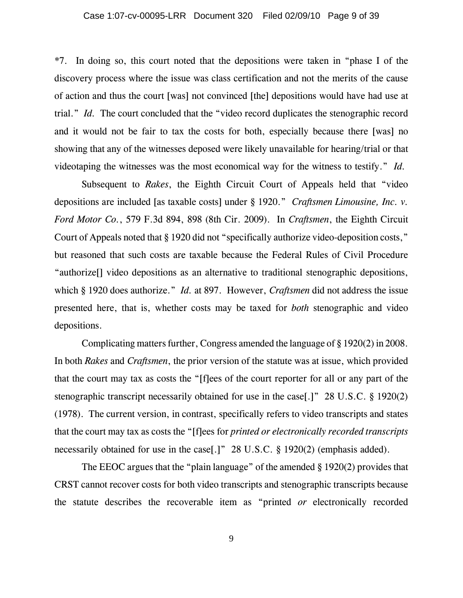#### Case 1:07-cv-00095-LRR Document 320 Filed 02/09/10 Page 9 of 39

\*7. In doing so, this court noted that the depositions were taken in "phase I of the discovery process where the issue was class certification and not the merits of the cause of action and thus the court [was] not convinced [the] depositions would have had use at trial." *Id.* The court concluded that the "video record duplicates the stenographic record and it would not be fair to tax the costs for both, especially because there [was] no showing that any of the witnesses deposed were likely unavailable for hearing/trial or that videotaping the witnesses was the most economical way for the witness to testify." *Id.* 

Subsequent to *Rakes*, the Eighth Circuit Court of Appeals held that "video depositions are included [as taxable costs] under § 1920." *Craftsmen Limousine, Inc. v. Ford Motor Co.*, 579 F.3d 894, 898 (8th Cir. 2009). In *Craftsmen*, the Eighth Circuit Court of Appeals noted that § 1920 did not "specifically authorize video-deposition costs," but reasoned that such costs are taxable because the Federal Rules of Civil Procedure "authorize[] video depositions as an alternative to traditional stenographic depositions, which § 1920 does authorize." *Id.* at 897. However, *Craftsmen* did not address the issue presented here, that is, whether costs may be taxed for *both* stenographic and video depositions.

Complicating matters further, Congress amended the language of § 1920(2) in 2008. In both *Rakes* and *Craftsmen*, the prior version of the statute was at issue, which provided that the court may tax as costs the "[f]ees of the court reporter for all or any part of the stenographic transcript necessarily obtained for use in the case[.]" 28 U.S.C. § 1920(2) (1978). The current version, in contrast, specifically refers to video transcripts and states that the court may tax as costs the "[f]ees for *printed or electronically recorded transcripts* necessarily obtained for use in the case<sup>[1]</sup>" 28 U.S.C. § 1920(2) (emphasis added).

The EEOC argues that the "plain language" of the amended § 1920(2) provides that CRST cannot recover costs for both video transcripts and stenographic transcripts because the statute describes the recoverable item as "printed *or* electronically recorded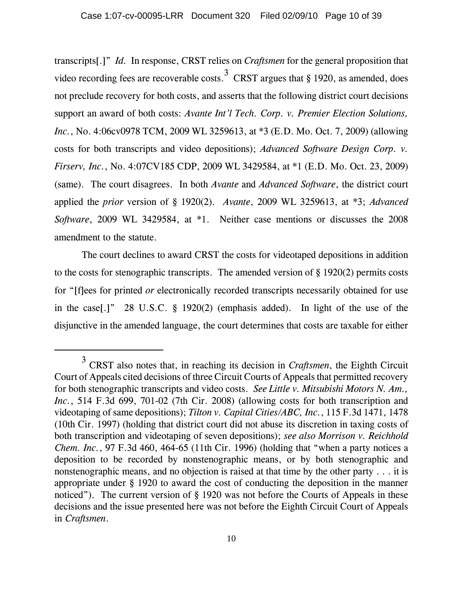transcripts[.]" *Id.* In response, CRST relies on *Craftsmen* for the general proposition that video recording fees are recoverable costs.<sup>3</sup> CRST argues that § 1920, as amended, does not preclude recovery for both costs, and asserts that the following district court decisions support an award of both costs: *Avante Int'l Tech. Corp. v. Premier Election Solutions, Inc.*, No. 4:06cv0978 TCM, 2009 WL 3259613, at \*3 (E.D. Mo. Oct. 7, 2009) (allowing costs for both transcripts and video depositions); *Advanced Software Design Corp. v. Firserv, Inc.*, No. 4:07CV185 CDP, 2009 WL 3429584, at \*1 (E.D. Mo. Oct. 23, 2009) (same). The court disagrees. In both *Avante* and *Advanced Software*, the district court applied the *prior* version of § 1920(2). *Avante*, 2009 WL 3259613, at \*3; *Advanced Software*, 2009 WL 3429584, at \*1. Neither case mentions or discusses the 2008 amendment to the statute.

The court declines to award CRST the costs for videotaped depositions in addition to the costs for stenographic transcripts. The amended version of § 1920(2) permits costs for "[f]ees for printed *or* electronically recorded transcripts necessarily obtained for use in the case[.]" 28 U.S.C. § 1920(2) (emphasis added). In light of the use of the disjunctive in the amended language, the court determines that costs are taxable for either

<sup>3</sup> CRST also notes that, in reaching its decision in *Craftsmen*, the Eighth Circuit Court of Appeals cited decisions of three Circuit Courts of Appeals that permitted recovery for both stenographic transcripts and video costs. *See Little v. Mitsubishi Motors N. Am., Inc.*, 514 F.3d 699, 701-02 (7th Cir. 2008) (allowing costs for both transcription and videotaping of same depositions); *Tilton v. Capital Cities/ABC, Inc.*, 115 F.3d 1471, 1478 (10th Cir. 1997) (holding that district court did not abuse its discretion in taxing costs of both transcription and videotaping of seven depositions); *see also Morrison v. Reichhold Chem. Inc.*, 97 F.3d 460, 464-65 (11th Cir. 1996) (holding that "when a party notices a deposition to be recorded by nonstenographic means, or by both stenographic and nonstenographic means, and no objection is raised at that time by the other party . . . it is appropriate under § 1920 to award the cost of conducting the deposition in the manner noticed"). The current version of § 1920 was not before the Courts of Appeals in these decisions and the issue presented here was not before the Eighth Circuit Court of Appeals in *Craftsmen*.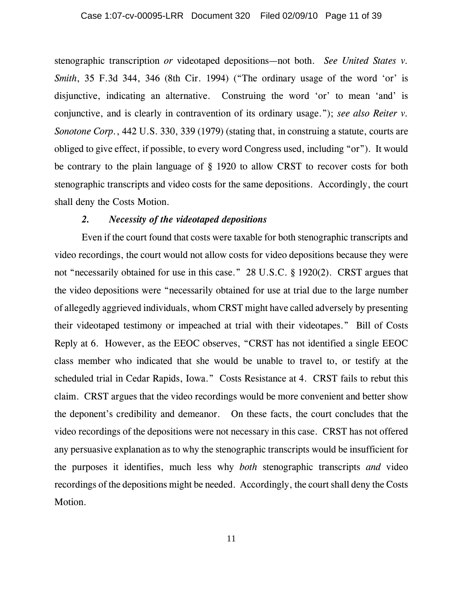stenographic transcription *or* videotaped depositions—not both. *See United States v. Smith*, 35 F.3d 344, 346 (8th Cir. 1994) ("The ordinary usage of the word 'or' is disjunctive, indicating an alternative. Construing the word 'or' to mean 'and' is conjunctive, and is clearly in contravention of its ordinary usage."); *see also Reiter v. Sonotone Corp.*, 442 U.S. 330, 339 (1979) (stating that, in construing a statute, courts are obliged to give effect, if possible, to every word Congress used, including "or"). It would be contrary to the plain language of § 1920 to allow CRST to recover costs for both stenographic transcripts and video costs for the same depositions. Accordingly, the court shall deny the Costs Motion.

## *2. Necessity of the videotaped depositions*

Even if the court found that costs were taxable for both stenographic transcripts and video recordings, the court would not allow costs for video depositions because they were not "necessarily obtained for use in this case." 28 U.S.C. § 1920(2). CRST argues that the video depositions were "necessarily obtained for use at trial due to the large number of allegedly aggrieved individuals, whom CRST might have called adversely by presenting their videotaped testimony or impeached at trial with their videotapes." Bill of Costs Reply at 6. However, as the EEOC observes, "CRST has not identified a single EEOC class member who indicated that she would be unable to travel to, or testify at the scheduled trial in Cedar Rapids, Iowa." Costs Resistance at 4. CRST fails to rebut this claim. CRST argues that the video recordings would be more convenient and better show the deponent's credibility and demeanor. On these facts, the court concludes that the video recordings of the depositions were not necessary in this case. CRST has not offered any persuasive explanation as to why the stenographic transcripts would be insufficient for the purposes it identifies, much less why *both* stenographic transcripts *and* video recordings of the depositions might be needed. Accordingly, the court shall deny the Costs Motion.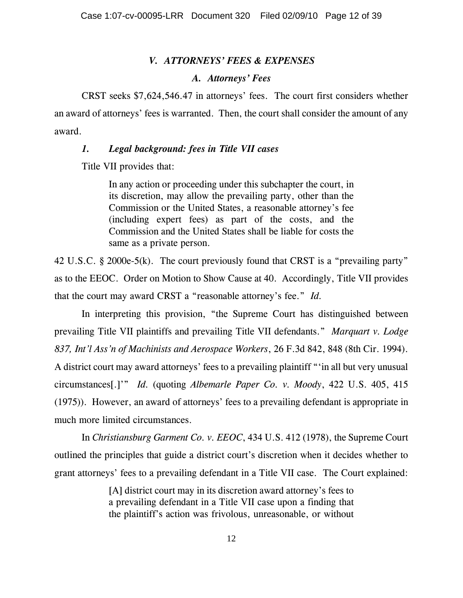## *V. ATTORNEYS' FEES & EXPENSES*

#### *A. Attorneys' Fees*

CRST seeks \$7,624,546.47 in attorneys' fees. The court first considers whether an award of attorneys' fees is warranted. Then, the court shall consider the amount of any award.

## *1. Legal background: fees in Title VII cases*

Title VII provides that:

In any action or proceeding under this subchapter the court, in its discretion, may allow the prevailing party, other than the Commission or the United States, a reasonable attorney's fee (including expert fees) as part of the costs, and the Commission and the United States shall be liable for costs the same as a private person.

42 U.S.C. § 2000e-5(k). The court previously found that CRST is a "prevailing party" as to the EEOC. Order on Motion to Show Cause at 40. Accordingly, Title VII provides that the court may award CRST a "reasonable attorney's fee." *Id.*

In interpreting this provision, "the Supreme Court has distinguished between prevailing Title VII plaintiffs and prevailing Title VII defendants." *Marquart v. Lodge 837, Int'l Ass'n of Machinists and Aerospace Workers*, 26 F.3d 842, 848 (8th Cir. 1994). A district court may award attorneys' fees to a prevailing plaintiff "'in all but very unusual circumstances[.]'" *Id.* (quoting *Albemarle Paper Co. v. Moody*, 422 U.S. 405, 415 (1975)). However, an award of attorneys' fees to a prevailing defendant is appropriate in much more limited circumstances.

In *Christiansburg Garment Co. v. EEOC*, 434 U.S. 412 (1978), the Supreme Court outlined the principles that guide a district court's discretion when it decides whether to grant attorneys' fees to a prevailing defendant in a Title VII case. The Court explained:

> [A] district court may in its discretion award attorney's fees to a prevailing defendant in a Title VII case upon a finding that the plaintiff's action was frivolous, unreasonable, or without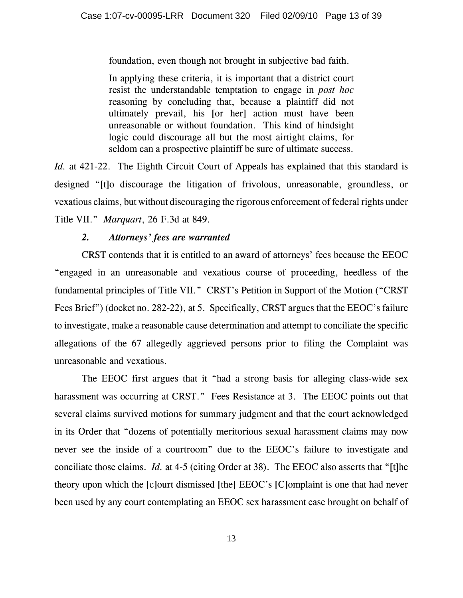foundation, even though not brought in subjective bad faith.

In applying these criteria, it is important that a district court resist the understandable temptation to engage in *post hoc* reasoning by concluding that, because a plaintiff did not ultimately prevail, his [or her] action must have been unreasonable or without foundation. This kind of hindsight logic could discourage all but the most airtight claims, for seldom can a prospective plaintiff be sure of ultimate success.

*Id.* at 421-22. The Eighth Circuit Court of Appeals has explained that this standard is designed "[t]o discourage the litigation of frivolous, unreasonable, groundless, or vexatious claims, but without discouraging the rigorous enforcement of federal rights under Title VII." *Marquart*, 26 F.3d at 849.

# *2. Attorneys' fees are warranted*

CRST contends that it is entitled to an award of attorneys' fees because the EEOC "engaged in an unreasonable and vexatious course of proceeding, heedless of the fundamental principles of Title VII." CRST's Petition in Support of the Motion ("CRST Fees Brief") (docket no. 282-22), at 5. Specifically, CRST argues that the EEOC's failure to investigate, make a reasonable cause determination and attempt to conciliate the specific allegations of the 67 allegedly aggrieved persons prior to filing the Complaint was unreasonable and vexatious.

The EEOC first argues that it "had a strong basis for alleging class-wide sex harassment was occurring at CRST." Fees Resistance at 3. The EEOC points out that several claims survived motions for summary judgment and that the court acknowledged in its Order that "dozens of potentially meritorious sexual harassment claims may now never see the inside of a courtroom" due to the EEOC's failure to investigate and conciliate those claims. *Id.* at 4-5 (citing Order at 38). The EEOC also asserts that "[t]he theory upon which the [c]ourt dismissed [the] EEOC's [C]omplaint is one that had never been used by any court contemplating an EEOC sex harassment case brought on behalf of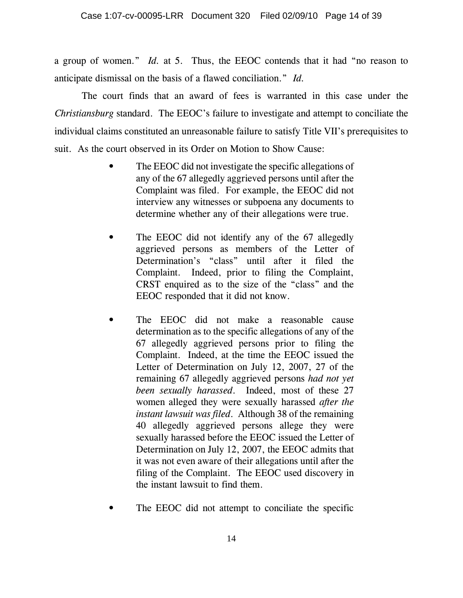a group of women." *Id.* at 5. Thus, the EEOC contends that it had "no reason to anticipate dismissal on the basis of a flawed conciliation." *Id.* 

The court finds that an award of fees is warranted in this case under the *Christiansburg* standard. The EEOC's failure to investigate and attempt to conciliate the individual claims constituted an unreasonable failure to satisfy Title VII's prerequisites to suit. As the court observed in its Order on Motion to Show Cause:

- The EEOC did not investigate the specific allegations of any of the 67 allegedly aggrieved persons until after the Complaint was filed. For example, the EEOC did not interview any witnesses or subpoena any documents to determine whether any of their allegations were true.
- The EEOC did not identify any of the 67 allegedly aggrieved persons as members of the Letter of Determination's "class" until after it filed the Complaint. Indeed, prior to filing the Complaint, CRST enquired as to the size of the "class" and the EEOC responded that it did not know.
- The EEOC did not make a reasonable cause determination as to the specific allegations of any of the 67 allegedly aggrieved persons prior to filing the Complaint. Indeed, at the time the EEOC issued the Letter of Determination on July 12, 2007, 27 of the remaining 67 allegedly aggrieved persons *had not yet been sexually harassed*. Indeed, most of these 27 women alleged they were sexually harassed *after the instant lawsuit was filed*. Although 38 of the remaining 40 allegedly aggrieved persons allege they were sexually harassed before the EEOC issued the Letter of Determination on July 12, 2007, the EEOC admits that it was not even aware of their allegations until after the filing of the Complaint. The EEOC used discovery in the instant lawsuit to find them.
- The EEOC did not attempt to conciliate the specific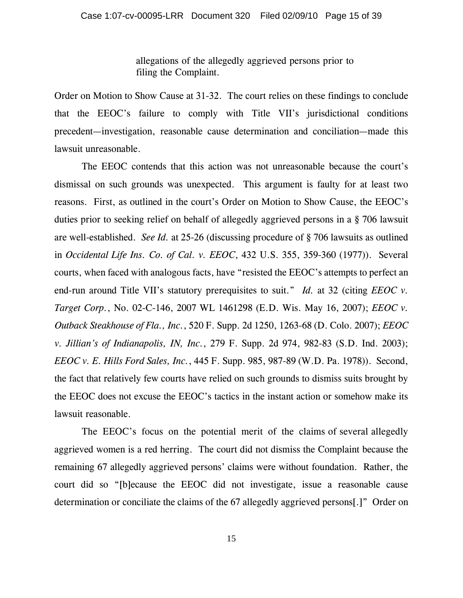allegations of the allegedly aggrieved persons prior to filing the Complaint.

Order on Motion to Show Cause at 31-32. The court relies on these findings to conclude that the EEOC's failure to comply with Title VII's jurisdictional conditions precedent—investigation, reasonable cause determination and conciliation—made this lawsuit unreasonable.

The EEOC contends that this action was not unreasonable because the court's dismissal on such grounds was unexpected. This argument is faulty for at least two reasons. First, as outlined in the court's Order on Motion to Show Cause, the EEOC's duties prior to seeking relief on behalf of allegedly aggrieved persons in a § 706 lawsuit are well-established. *See Id.* at 25-26 (discussing procedure of § 706 lawsuits as outlined in *Occidental Life Ins. Co. of Cal. v. EEOC*, 432 U.S. 355, 359-360 (1977)). Several courts, when faced with analogous facts, have "resisted the EEOC's attempts to perfect an end-run around Title VII's statutory prerequisites to suit." *Id.* at 32 (citing *EEOC v. Target Corp.*, No. 02-C-146, 2007 WL 1461298 (E.D. Wis. May 16, 2007); *EEOC v. Outback Steakhouse of Fla., Inc.*, 520 F. Supp. 2d 1250, 1263-68 (D. Colo. 2007); *EEOC v. Jillian's of Indianapolis, IN, Inc.*, 279 F. Supp. 2d 974, 982-83 (S.D. Ind. 2003); *EEOC v. E. Hills Ford Sales, Inc.*, 445 F. Supp. 985, 987-89 (W.D. Pa. 1978)). Second, the fact that relatively few courts have relied on such grounds to dismiss suits brought by the EEOC does not excuse the EEOC's tactics in the instant action or somehow make its lawsuit reasonable.

 The EEOC's focus on the potential merit of the claims of several allegedly aggrieved women is a red herring. The court did not dismiss the Complaint because the remaining 67 allegedly aggrieved persons' claims were without foundation. Rather, the court did so "[b]ecause the EEOC did not investigate, issue a reasonable cause determination or conciliate the claims of the 67 allegedly aggrieved persons[.]" Order on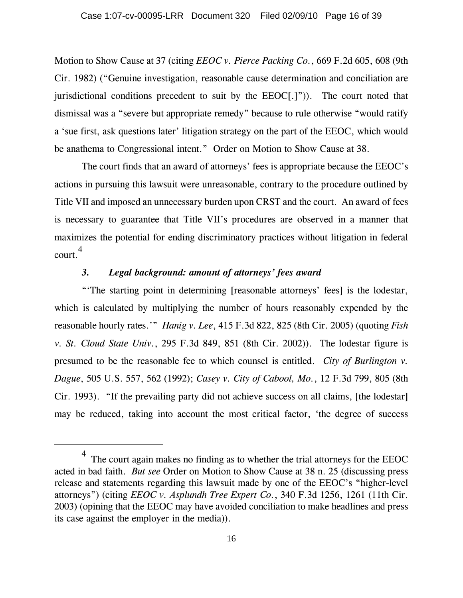Motion to Show Cause at 37 (citing *EEOC v. Pierce Packing Co.*, 669 F.2d 605, 608 (9th Cir. 1982) ("Genuine investigation, reasonable cause determination and conciliation are jurisdictional conditions precedent to suit by the EEOC[.]")). The court noted that dismissal was a "severe but appropriate remedy" because to rule otherwise "would ratify a 'sue first, ask questions later' litigation strategy on the part of the EEOC, which would be anathema to Congressional intent." Order on Motion to Show Cause at 38.

The court finds that an award of attorneys' fees is appropriate because the EEOC's actions in pursuing this lawsuit were unreasonable, contrary to the procedure outlined by Title VII and imposed an unnecessary burden upon CRST and the court. An award of fees is necessary to guarantee that Title VII's procedures are observed in a manner that maximizes the potential for ending discriminatory practices without litigation in federal court. 4

# *3. Legal background: amount of attorneys' fees award*

"'The starting point in determining [reasonable attorneys' fees] is the lodestar, which is calculated by multiplying the number of hours reasonably expended by the reasonable hourly rates.'" *Hanig v. Lee*, 415 F.3d 822, 825 (8th Cir. 2005) (quoting *Fish v. St. Cloud State Univ.*, 295 F.3d 849, 851 (8th Cir. 2002)). The lodestar figure is presumed to be the reasonable fee to which counsel is entitled. *City of Burlington v. Dague*, 505 U.S. 557, 562 (1992); *Casey v. City of Cabool, Mo.*, 12 F.3d 799, 805 (8th Cir. 1993). "If the prevailing party did not achieve success on all claims, [the lodestar] may be reduced, taking into account the most critical factor, 'the degree of success

 $4$  The court again makes no finding as to whether the trial attorneys for the EEOC acted in bad faith. *But see* Order on Motion to Show Cause at 38 n. 25 (discussing press release and statements regarding this lawsuit made by one of the EEOC's "higher-level attorneys") (citing *EEOC v. Asplundh Tree Expert Co.*, 340 F.3d 1256, 1261 (11th Cir. 2003) (opining that the EEOC may have avoided conciliation to make headlines and press its case against the employer in the media)).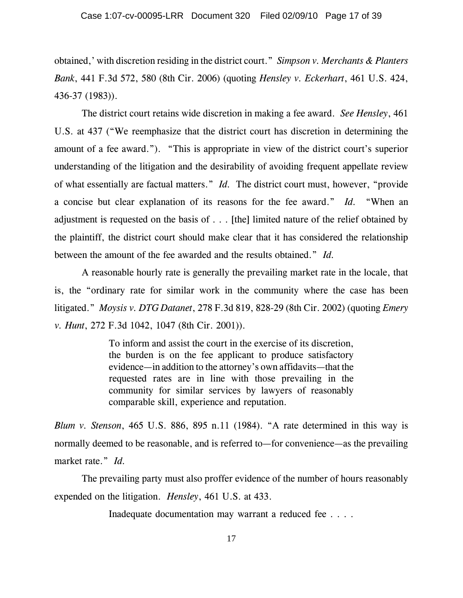obtained,' with discretion residing in the district court." *Simpson v. Merchants & Planters Bank*, 441 F.3d 572, 580 (8th Cir. 2006) (quoting *Hensley v. Eckerhart*, 461 U.S. 424, 436-37 (1983)).

The district court retains wide discretion in making a fee award. *See Hensley*, 461 U.S. at 437 ("We reemphasize that the district court has discretion in determining the amount of a fee award."). "This is appropriate in view of the district court's superior understanding of the litigation and the desirability of avoiding frequent appellate review of what essentially are factual matters." *Id.* The district court must, however, "provide a concise but clear explanation of its reasons for the fee award." *Id.* "When an adjustment is requested on the basis of . . . [the] limited nature of the relief obtained by the plaintiff, the district court should make clear that it has considered the relationship between the amount of the fee awarded and the results obtained." *Id.*

A reasonable hourly rate is generally the prevailing market rate in the locale, that is, the "ordinary rate for similar work in the community where the case has been litigated." *Moysis v. DTG Datanet*, 278 F.3d 819, 828-29 (8th Cir. 2002) (quoting *Emery v. Hunt*, 272 F.3d 1042, 1047 (8th Cir. 2001)).

> To inform and assist the court in the exercise of its discretion, the burden is on the fee applicant to produce satisfactory evidence—in addition to the attorney's own affidavits—that the requested rates are in line with those prevailing in the community for similar services by lawyers of reasonably comparable skill, experience and reputation.

*Blum v. Stenson*, 465 U.S. 886, 895 n.11 (1984). "A rate determined in this way is normally deemed to be reasonable, and is referred to—for convenience—as the prevailing market rate." *Id.*

The prevailing party must also proffer evidence of the number of hours reasonably expended on the litigation. *Hensley*, 461 U.S. at 433.

Inadequate documentation may warrant a reduced fee . . . .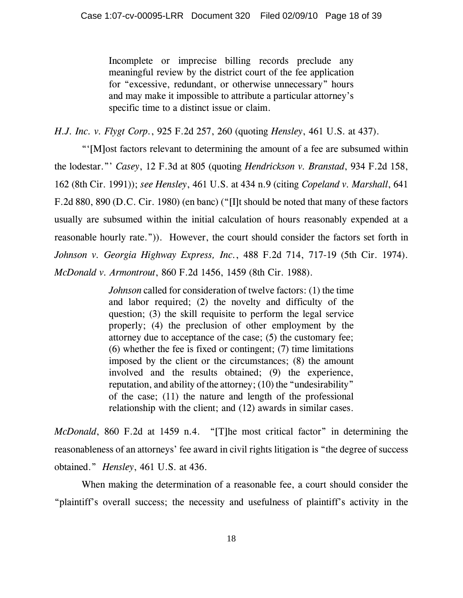Incomplete or imprecise billing records preclude any meaningful review by the district court of the fee application for "excessive, redundant, or otherwise unnecessary" hours and may make it impossible to attribute a particular attorney's specific time to a distinct issue or claim.

*H.J. Inc. v. Flygt Corp.*, 925 F.2d 257, 260 (quoting *Hensley*, 461 U.S. at 437).

"'[M]ost factors relevant to determining the amount of a fee are subsumed within the lodestar."' *Casey*, 12 F.3d at 805 (quoting *Hendrickson v. Branstad*, 934 F.2d 158, 162 (8th Cir. 1991)); *see Hensley*, 461 U.S. at 434 n.9 (citing *Copeland v. Marshall*, 641 F.2d 880, 890 (D.C. Cir. 1980) (en banc) ("[I]t should be noted that many of these factors usually are subsumed within the initial calculation of hours reasonably expended at a reasonable hourly rate.")). However, the court should consider the factors set forth in *Johnson v. Georgia Highway Express, Inc.*, 488 F.2d 714, 717-19 (5th Cir. 1974). *McDonald v. Armontrout*, 860 F.2d 1456, 1459 (8th Cir. 1988).

> *Johnson* called for consideration of twelve factors: (1) the time and labor required; (2) the novelty and difficulty of the question; (3) the skill requisite to perform the legal service properly; (4) the preclusion of other employment by the attorney due to acceptance of the case; (5) the customary fee; (6) whether the fee is fixed or contingent; (7) time limitations imposed by the client or the circumstances; (8) the amount involved and the results obtained; (9) the experience, reputation, and ability of the attorney; (10) the "undesirability" of the case; (11) the nature and length of the professional relationship with the client; and (12) awards in similar cases.

*McDonald*, 860 F.2d at 1459 n.4. "[T]he most critical factor" in determining the reasonableness of an attorneys' fee award in civil rights litigation is "the degree of success obtained." *Hensley*, 461 U.S. at 436.

When making the determination of a reasonable fee, a court should consider the "plaintiff's overall success; the necessity and usefulness of plaintiff's activity in the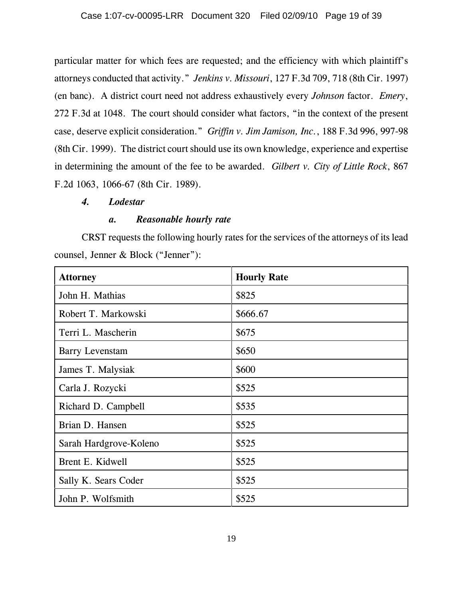particular matter for which fees are requested; and the efficiency with which plaintiff's attorneys conducted that activity." *Jenkins v. Missouri*, 127 F.3d 709, 718 (8th Cir. 1997) (en banc). A district court need not address exhaustively every *Johnson* factor. *Emery*, 272 F.3d at 1048. The court should consider what factors, "in the context of the present case, deserve explicit consideration." *Griffin v. Jim Jamison, Inc.*, 188 F.3d 996, 997-98 (8th Cir. 1999). The district court should use its own knowledge, experience and expertise in determining the amount of the fee to be awarded. *Gilbert v. City of Little Rock*, 867 F.2d 1063, 1066-67 (8th Cir. 1989).

### *4. Lodestar*

## *a. Reasonable hourly rate*

CRST requests the following hourly rates for the services of the attorneys of its lead counsel, Jenner & Block ("Jenner"):

| <b>Attorney</b>        | <b>Hourly Rate</b> |
|------------------------|--------------------|
| John H. Mathias        | \$825              |
| Robert T. Markowski    | \$666.67           |
| Terri L. Mascherin     | \$675              |
| <b>Barry Levenstam</b> | \$650              |
| James T. Malysiak      | \$600              |
| Carla J. Rozycki       | \$525              |
| Richard D. Campbell    | \$535              |
| Brian D. Hansen        | \$525              |
| Sarah Hardgrove-Koleno | \$525              |
| Brent E. Kidwell       | \$525              |
| Sally K. Sears Coder   | \$525              |
| John P. Wolfsmith      | \$525              |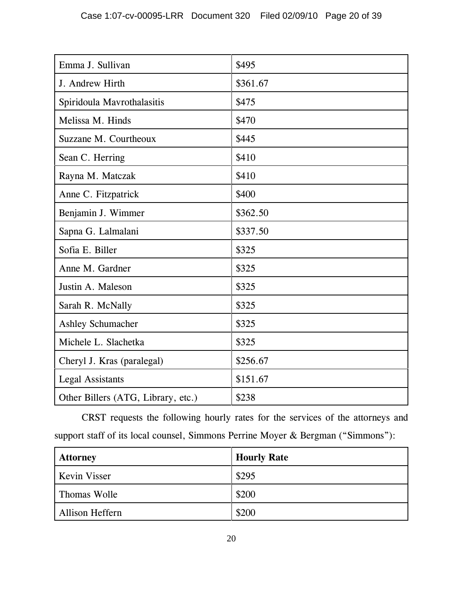| Emma J. Sullivan                   | \$495    |
|------------------------------------|----------|
| J. Andrew Hirth                    | \$361.67 |
| Spiridoula Mavrothalasitis         | \$475    |
| Melissa M. Hinds                   | \$470    |
| Suzzane M. Courtheoux              | \$445    |
| Sean C. Herring                    | \$410    |
| Rayna M. Matczak                   | \$410    |
| Anne C. Fitzpatrick                | \$400    |
| Benjamin J. Wimmer                 | \$362.50 |
| Sapna G. Lalmalani                 | \$337.50 |
| Sofia E. Biller                    | \$325    |
| Anne M. Gardner                    | \$325    |
| Justin A. Maleson                  | \$325    |
| Sarah R. McNally                   | \$325    |
| <b>Ashley Schumacher</b>           | \$325    |
| Michele L. Slachetka               | \$325    |
| Cheryl J. Kras (paralegal)         | \$256.67 |
| <b>Legal Assistants</b>            | \$151.67 |
| Other Billers (ATG, Library, etc.) | \$238    |

CRST requests the following hourly rates for the services of the attorneys and support staff of its local counsel, Simmons Perrine Moyer & Bergman ("Simmons"):

| <b>Attorney</b>        | <b>Hourly Rate</b> |
|------------------------|--------------------|
| <b>Kevin Visser</b>    | \$295              |
| Thomas Wolle           | \$200              |
| <b>Allison Heffern</b> | \$200              |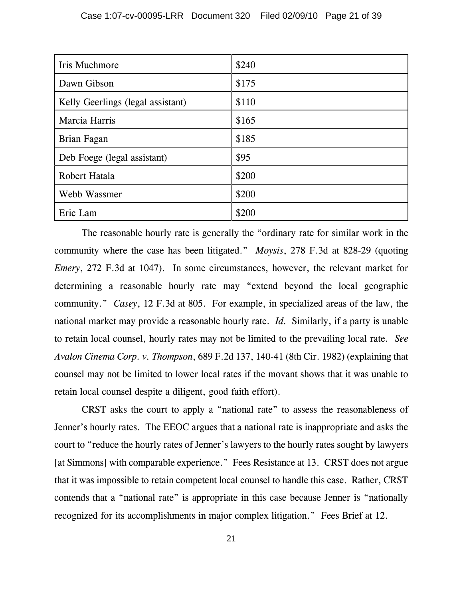| Iris Muchmore                     | \$240 |
|-----------------------------------|-------|
| Dawn Gibson                       | \$175 |
| Kelly Geerlings (legal assistant) | \$110 |
| Marcia Harris                     | \$165 |
| Brian Fagan                       | \$185 |
| Deb Foege (legal assistant)       | \$95  |
| Robert Hatala                     | \$200 |
| Webb Wassmer                      | \$200 |
| Eric Lam                          | \$200 |

The reasonable hourly rate is generally the "ordinary rate for similar work in the community where the case has been litigated." *Moysis*, 278 F.3d at 828-29 (quoting *Emery*, 272 F.3d at 1047). In some circumstances, however, the relevant market for determining a reasonable hourly rate may "extend beyond the local geographic community." *Casey*, 12 F.3d at 805. For example, in specialized areas of the law, the national market may provide a reasonable hourly rate. *Id.* Similarly, if a party is unable to retain local counsel, hourly rates may not be limited to the prevailing local rate. *See Avalon Cinema Corp. v. Thompson*, 689 F.2d 137, 140-41 (8th Cir. 1982) (explaining that counsel may not be limited to lower local rates if the movant shows that it was unable to retain local counsel despite a diligent, good faith effort).

CRST asks the court to apply a "national rate" to assess the reasonableness of Jenner's hourly rates. The EEOC argues that a national rate is inappropriate and asks the court to "reduce the hourly rates of Jenner's lawyers to the hourly rates sought by lawyers [at Simmons] with comparable experience." Fees Resistance at 13. CRST does not argue that it was impossible to retain competent local counsel to handle this case. Rather, CRST contends that a "national rate" is appropriate in this case because Jenner is "nationally recognized for its accomplishments in major complex litigation." Fees Brief at 12.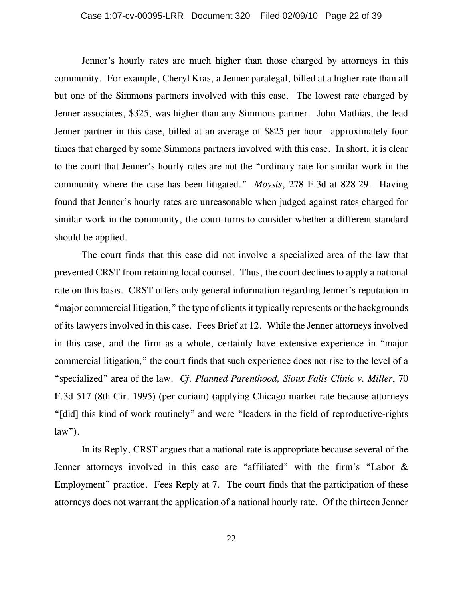Jenner's hourly rates are much higher than those charged by attorneys in this community. For example, Cheryl Kras, a Jenner paralegal, billed at a higher rate than all but one of the Simmons partners involved with this case. The lowest rate charged by Jenner associates, \$325, was higher than any Simmons partner. John Mathias, the lead Jenner partner in this case, billed at an average of \$825 per hour—approximately four times that charged by some Simmons partners involved with this case. In short, it is clear to the court that Jenner's hourly rates are not the "ordinary rate for similar work in the community where the case has been litigated." *Moysis*, 278 F.3d at 828-29. Having found that Jenner's hourly rates are unreasonable when judged against rates charged for similar work in the community, the court turns to consider whether a different standard should be applied.

The court finds that this case did not involve a specialized area of the law that prevented CRST from retaining local counsel. Thus, the court declines to apply a national rate on this basis. CRST offers only general information regarding Jenner's reputation in "major commercial litigation," the type of clients it typically represents or the backgrounds of its lawyers involved in this case. Fees Brief at 12. While the Jenner attorneys involved in this case, and the firm as a whole, certainly have extensive experience in "major commercial litigation," the court finds that such experience does not rise to the level of a "specialized" area of the law. *Cf. Planned Parenthood, Sioux Falls Clinic v. Miller*, 70 F.3d 517 (8th Cir. 1995) (per curiam) (applying Chicago market rate because attorneys "[did] this kind of work routinely" and were "leaders in the field of reproductive-rights  $law$ ").

In its Reply, CRST argues that a national rate is appropriate because several of the Jenner attorneys involved in this case are "affiliated" with the firm's "Labor & Employment" practice. Fees Reply at 7. The court finds that the participation of these attorneys does not warrant the application of a national hourly rate. Of the thirteen Jenner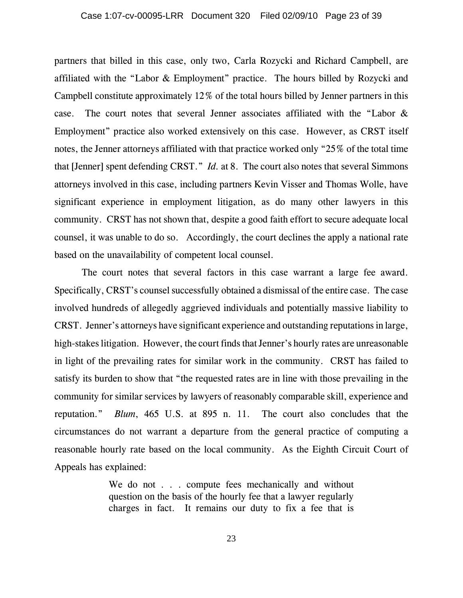partners that billed in this case, only two, Carla Rozycki and Richard Campbell, are affiliated with the "Labor & Employment" practice. The hours billed by Rozycki and Campbell constitute approximately 12% of the total hours billed by Jenner partners in this case. The court notes that several Jenner associates affiliated with the "Labor & Employment" practice also worked extensively on this case. However, as CRST itself notes, the Jenner attorneys affiliated with that practice worked only "25% of the total time that [Jenner] spent defending CRST." *Id.* at 8. The court also notes that several Simmons attorneys involved in this case, including partners Kevin Visser and Thomas Wolle, have significant experience in employment litigation, as do many other lawyers in this community. CRST has not shown that, despite a good faith effort to secure adequate local counsel, it was unable to do so. Accordingly, the court declines the apply a national rate based on the unavailability of competent local counsel.

The court notes that several factors in this case warrant a large fee award. Specifically, CRST's counsel successfully obtained a dismissal of the entire case. The case involved hundreds of allegedly aggrieved individuals and potentially massive liability to CRST. Jenner's attorneys have significant experience and outstanding reputations in large, high-stakes litigation. However, the court finds that Jenner's hourly rates are unreasonable in light of the prevailing rates for similar work in the community. CRST has failed to satisfy its burden to show that "the requested rates are in line with those prevailing in the community for similar services by lawyers of reasonably comparable skill, experience and reputation." *Blum*, 465 U.S. at 895 n. 11. The court also concludes that the circumstances do not warrant a departure from the general practice of computing a reasonable hourly rate based on the local community. As the Eighth Circuit Court of Appeals has explained:

> We do not . . . compute fees mechanically and without question on the basis of the hourly fee that a lawyer regularly charges in fact. It remains our duty to fix a fee that is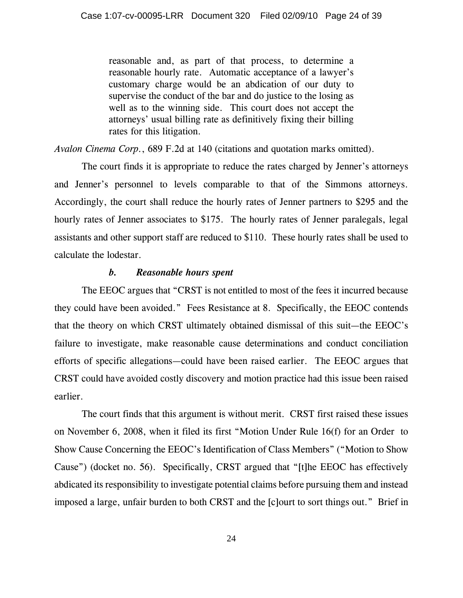reasonable and, as part of that process, to determine a reasonable hourly rate. Automatic acceptance of a lawyer's customary charge would be an abdication of our duty to supervise the conduct of the bar and do justice to the losing as well as to the winning side. This court does not accept the attorneys' usual billing rate as definitively fixing their billing rates for this litigation.

*Avalon Cinema Corp.*, 689 F.2d at 140 (citations and quotation marks omitted).

The court finds it is appropriate to reduce the rates charged by Jenner's attorneys and Jenner's personnel to levels comparable to that of the Simmons attorneys. Accordingly, the court shall reduce the hourly rates of Jenner partners to \$295 and the hourly rates of Jenner associates to \$175. The hourly rates of Jenner paralegals, legal assistants and other support staff are reduced to \$110. These hourly rates shall be used to calculate the lodestar.

### *b. Reasonable hours spent*

The EEOC argues that "CRST is not entitled to most of the fees it incurred because they could have been avoided." Fees Resistance at 8. Specifically, the EEOC contends that the theory on which CRST ultimately obtained dismissal of this suit—the EEOC's failure to investigate, make reasonable cause determinations and conduct conciliation efforts of specific allegations—could have been raised earlier. The EEOC argues that CRST could have avoided costly discovery and motion practice had this issue been raised earlier.

The court finds that this argument is without merit. CRST first raised these issues on November 6, 2008, when it filed its first "Motion Under Rule 16(f) for an Order to Show Cause Concerning the EEOC's Identification of Class Members" ("Motion to Show Cause") (docket no. 56). Specifically, CRST argued that "[t]he EEOC has effectively abdicated its responsibility to investigate potential claims before pursuing them and instead imposed a large, unfair burden to both CRST and the [c]ourt to sort things out." Brief in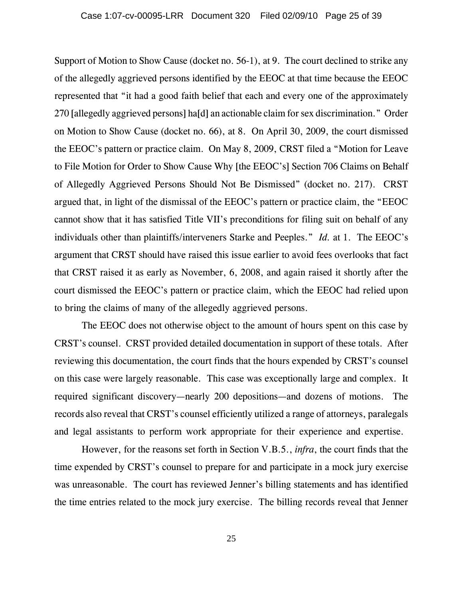Support of Motion to Show Cause (docket no. 56-1), at 9. The court declined to strike any of the allegedly aggrieved persons identified by the EEOC at that time because the EEOC represented that "it had a good faith belief that each and every one of the approximately 270 [allegedly aggrieved persons] ha[d] an actionable claim for sex discrimination." Order on Motion to Show Cause (docket no. 66), at 8. On April 30, 2009, the court dismissed the EEOC's pattern or practice claim. On May 8, 2009, CRST filed a "Motion for Leave to File Motion for Order to Show Cause Why [the EEOC's] Section 706 Claims on Behalf of Allegedly Aggrieved Persons Should Not Be Dismissed" (docket no. 217). CRST argued that, in light of the dismissal of the EEOC's pattern or practice claim, the "EEOC cannot show that it has satisfied Title VII's preconditions for filing suit on behalf of any individuals other than plaintiffs/interveners Starke and Peeples." *Id.* at 1. The EEOC's argument that CRST should have raised this issue earlier to avoid fees overlooks that fact that CRST raised it as early as November, 6, 2008, and again raised it shortly after the court dismissed the EEOC's pattern or practice claim, which the EEOC had relied upon to bring the claims of many of the allegedly aggrieved persons.

The EEOC does not otherwise object to the amount of hours spent on this case by CRST's counsel. CRST provided detailed documentation in support of these totals. After reviewing this documentation, the court finds that the hours expended by CRST's counsel on this case were largely reasonable. This case was exceptionally large and complex. It required significant discovery—nearly 200 depositions—and dozens of motions. The records also reveal that CRST's counsel efficiently utilized a range of attorneys, paralegals and legal assistants to perform work appropriate for their experience and expertise.

However, for the reasons set forth in Section V.B.5., *infra*, the court finds that the time expended by CRST's counsel to prepare for and participate in a mock jury exercise was unreasonable. The court has reviewed Jenner's billing statements and has identified the time entries related to the mock jury exercise. The billing records reveal that Jenner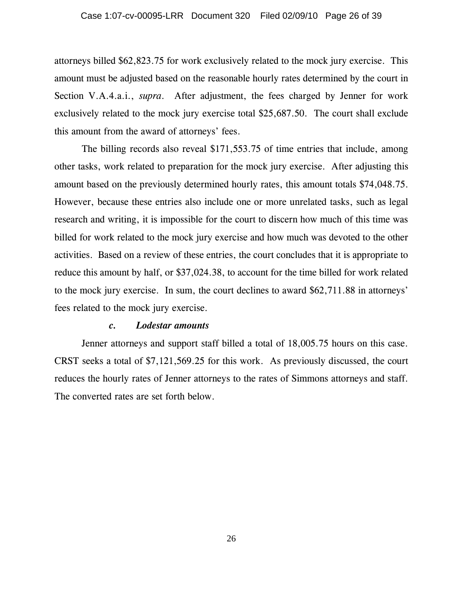attorneys billed \$62,823.75 for work exclusively related to the mock jury exercise. This amount must be adjusted based on the reasonable hourly rates determined by the court in Section V.A.4.a.i., *supra*. After adjustment, the fees charged by Jenner for work exclusively related to the mock jury exercise total \$25,687.50. The court shall exclude this amount from the award of attorneys' fees.

The billing records also reveal \$171,553.75 of time entries that include, among other tasks, work related to preparation for the mock jury exercise. After adjusting this amount based on the previously determined hourly rates, this amount totals \$74,048.75. However, because these entries also include one or more unrelated tasks, such as legal research and writing, it is impossible for the court to discern how much of this time was billed for work related to the mock jury exercise and how much was devoted to the other activities. Based on a review of these entries, the court concludes that it is appropriate to reduce this amount by half, or \$37,024.38, to account for the time billed for work related to the mock jury exercise. In sum, the court declines to award \$62,711.88 in attorneys' fees related to the mock jury exercise.

#### *c. Lodestar amounts*

Jenner attorneys and support staff billed a total of 18,005.75 hours on this case. CRST seeks a total of \$7,121,569.25 for this work. As previously discussed, the court reduces the hourly rates of Jenner attorneys to the rates of Simmons attorneys and staff. The converted rates are set forth below.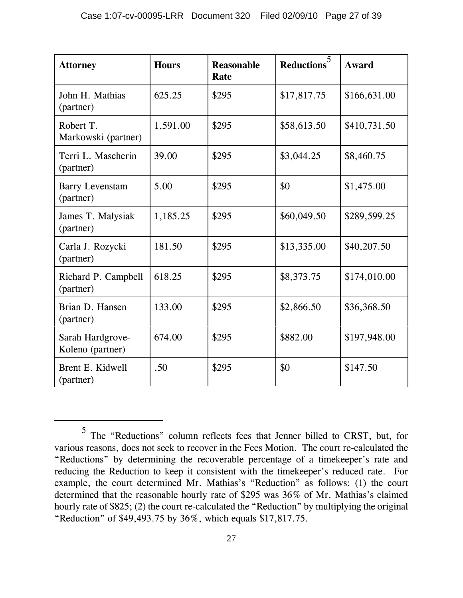| <b>Attorney</b>                      | <b>Hours</b> | <b>Reasonable</b><br>Rate | Reductions <sup>5</sup> | Award        |
|--------------------------------------|--------------|---------------------------|-------------------------|--------------|
| John H. Mathias<br>(partner)         | 625.25       | \$295                     | \$17,817.75             | \$166,631.00 |
| Robert T.<br>Markowski (partner)     | 1,591.00     | \$295                     | \$58,613.50             | \$410,731.50 |
| Terri L. Mascherin<br>(partner)      | 39.00        | \$295                     | \$3,044.25              | \$8,460.75   |
| <b>Barry Levenstam</b><br>(partner)  | 5.00         | \$295                     | \$0                     | \$1,475.00   |
| James T. Malysiak<br>(partner)       | 1,185.25     | \$295                     | \$60,049.50             | \$289,599.25 |
| Carla J. Rozycki<br>(partner)        | 181.50       | \$295                     | \$13,335.00             | \$40,207.50  |
| Richard P. Campbell<br>(partner)     | 618.25       | \$295                     | \$8,373.75              | \$174,010.00 |
| Brian D. Hansen<br>(partner)         | 133.00       | \$295                     | \$2,866.50              | \$36,368.50  |
| Sarah Hardgrove-<br>Koleno (partner) | 674.00       | \$295                     | \$882.00                | \$197,948.00 |
| Brent E. Kidwell<br>(partner)        | .50          | \$295                     | \$0                     | \$147.50     |

<sup>5</sup> The "Reductions" column reflects fees that Jenner billed to CRST, but, for various reasons, does not seek to recover in the Fees Motion. The court re-calculated the "Reductions" by determining the recoverable percentage of a timekeeper's rate and reducing the Reduction to keep it consistent with the timekeeper's reduced rate. For example, the court determined Mr. Mathias's "Reduction" as follows: (1) the court determined that the reasonable hourly rate of \$295 was 36% of Mr. Mathias's claimed hourly rate of \$825; (2) the court re-calculated the "Reduction" by multiplying the original "Reduction" of \$49,493.75 by 36%, which equals \$17,817.75.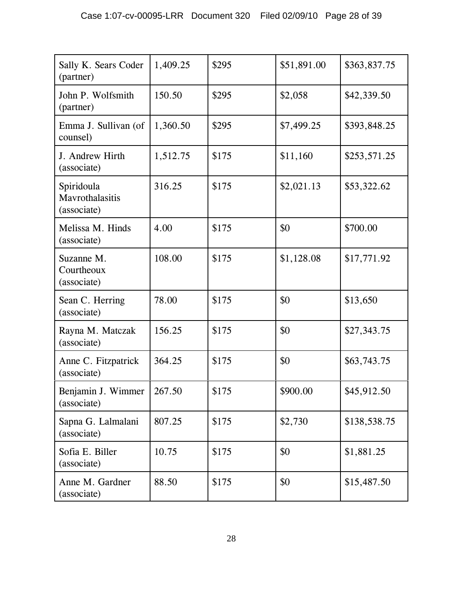| Sally K. Sears Coder<br>(partner)            | 1,409.25 | \$295 | \$51,891.00 | \$363,837.75 |
|----------------------------------------------|----------|-------|-------------|--------------|
| John P. Wolfsmith<br>(partner)               | 150.50   | \$295 | \$2,058     | \$42,339.50  |
| Emma J. Sullivan (of<br>counsel)             | 1,360.50 | \$295 | \$7,499.25  | \$393,848.25 |
| J. Andrew Hirth<br>(associate)               | 1,512.75 | \$175 | \$11,160    | \$253,571.25 |
| Spiridoula<br>Mavrothalasitis<br>(associate) | 316.25   | \$175 | \$2,021.13  | \$53,322.62  |
| Melissa M. Hinds<br>(associate)              | 4.00     | \$175 | \$0         | \$700.00     |
| Suzanne M.<br>Courtheoux<br>(associate)      | 108.00   | \$175 | \$1,128.08  | \$17,771.92  |
| Sean C. Herring<br>(associate)               | 78.00    | \$175 | \$0         | \$13,650     |
| Rayna M. Matczak<br>(associate)              | 156.25   | \$175 | \$0         | \$27,343.75  |
| Anne C. Fitzpatrick<br>(associate)           | 364.25   | \$175 | \$0         | \$63,743.75  |
| Benjamin J. Wimmer<br>(associate)            | 267.50   | \$175 | \$900.00    | \$45,912.50  |
| Sapna G. Lalmalani<br>(associate)            | 807.25   | \$175 | \$2,730     | \$138,538.75 |
| Sofia E. Biller<br>(associate)               | 10.75    | \$175 | \$0         | \$1,881.25   |
| Anne M. Gardner<br>(associate)               | 88.50    | \$175 | \$0         | \$15,487.50  |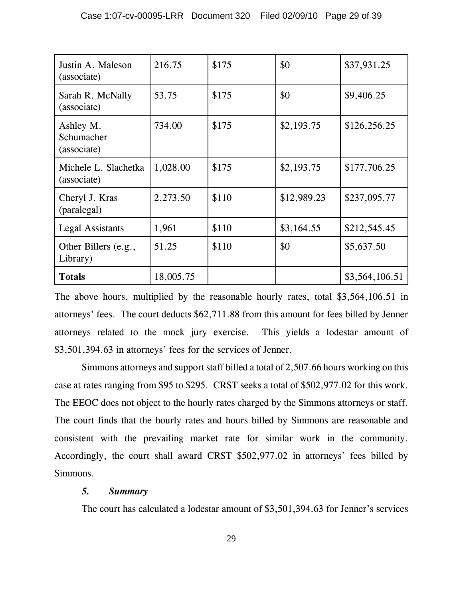| Justin A. Maleson<br>(associate)       | 216.75    | \$175 | \$0         | \$37,931.25    |
|----------------------------------------|-----------|-------|-------------|----------------|
| Sarah R. McNally<br>(associate)        | 53.75     | \$175 | \$0         | \$9,406.25     |
| Ashley M.<br>Schumacher<br>(associate) | 734.00    | \$175 | \$2,193.75  | \$126,256.25   |
| Michele L. Slachetka<br>(associate)    | 1,028.00  | \$175 | \$2,193.75  | \$177,706.25   |
| Cheryl J. Kras<br>(paralegal)          | 2,273.50  | \$110 | \$12,989.23 | \$237,095.77   |
| <b>Legal Assistants</b>                | 1,961     | \$110 | \$3,164.55  | \$212,545.45   |
| Other Billers (e.g.,<br>Library)       | 51.25     | \$110 | \$0         | \$5,637.50     |
| <b>Totals</b>                          | 18,005.75 |       |             | \$3,564,106.51 |

The above hours, multiplied by the reasonable hourly rates, total \$3,564,106.51 in attorneys' fees. The court deducts \$62,711.88 from this amount for fees billed by Jenner attorneys related to the mock jury exercise. This yields a lodestar amount of \$3,501,394.63 in attorneys' fees for the services of Jenner.

Simmons attorneys and support staff billed a total of 2,507.66 hours working on this case at rates ranging from \$95 to \$295. CRST seeks a total of \$502,977.02 for this work. The EEOC does not object to the hourly rates charged by the Simmons attorneys or staff. The court finds that the hourly rates and hours billed by Simmons are reasonable and consistent with the prevailing market rate for similar work in the community. Accordingly, the court shall award CRST \$502,977.02 in attorneys' fees billed by Simmons.

# *5. Summary*

The court has calculated a lodestar amount of \$3,501,394.63 for Jenner's services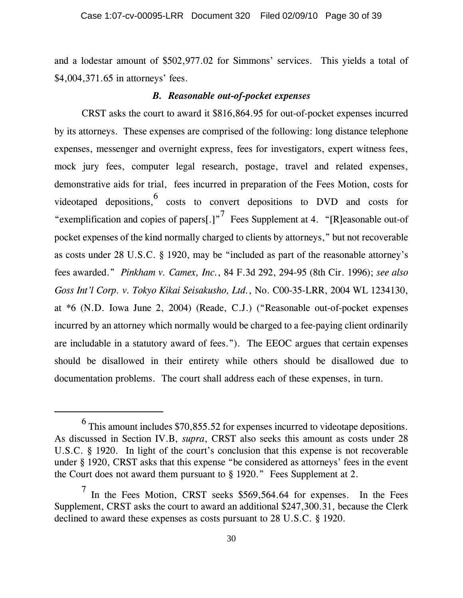and a lodestar amount of \$502,977.02 for Simmons' services. This yields a total of \$4,004,371.65 in attorneys' fees.

#### *B. Reasonable out-of-pocket expenses*

CRST asks the court to award it \$816,864.95 for out-of-pocket expenses incurred by its attorneys. These expenses are comprised of the following: long distance telephone expenses, messenger and overnight express, fees for investigators, expert witness fees, mock jury fees, computer legal research, postage, travel and related expenses, demonstrative aids for trial, fees incurred in preparation of the Fees Motion, costs for videotaped depositions,  $\frac{6}{5}$  costs to convert depositions to DVD and costs for "exemplification and copies of papers[.]"<sup>7</sup> Fees Supplement at 4. "[R]easonable out-of pocket expenses of the kind normally charged to clients by attorneys," but not recoverable as costs under 28 U.S.C. § 1920, may be "included as part of the reasonable attorney's fees awarded." *Pinkham v. Camex, Inc.*, 84 F.3d 292, 294-95 (8th Cir. 1996); *see also Goss Int'l Corp. v. Tokyo Kikai Seisakusho, Ltd.*, No. C00-35-LRR, 2004 WL 1234130, at \*6 (N.D. Iowa June 2, 2004) (Reade, C.J.) ("Reasonable out-of-pocket expenses incurred by an attorney which normally would be charged to a fee-paying client ordinarily are includable in a statutory award of fees.").The EEOC argues that certain expenses should be disallowed in their entirety while others should be disallowed due to documentation problems.The court shall address each of these expenses, in turn.

 $^6$  This amount includes \$70,855.52 for expenses incurred to videotape depositions. As discussed in Section IV.B, *supra*, CRST also seeks this amount as costs under 28 U.S.C. § 1920. In light of the court's conclusion that this expense is not recoverable under § 1920, CRST asks that this expense "be considered as attorneys' fees in the event the Court does not award them pursuant to § 1920." Fees Supplement at 2.

<sup>7</sup> In the Fees Motion, CRST seeks \$569,564.64 for expenses. In the Fees Supplement, CRST asks the court to award an additional \$247,300.31, because the Clerk declined to award these expenses as costs pursuant to 28 U.S.C. § 1920.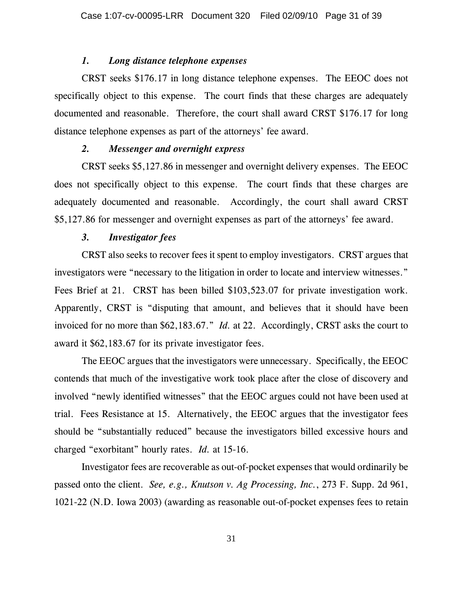#### *1. Long distance telephone expenses*

CRST seeks \$176.17 in long distance telephone expenses. The EEOC does not specifically object to this expense. The court finds that these charges are adequately documented and reasonable. Therefore, the court shall award CRST \$176.17 for long distance telephone expenses as part of the attorneys' fee award.

## *2. Messenger and overnight express*

CRST seeks \$5,127.86 in messenger and overnight delivery expenses. The EEOC does not specifically object to this expense. The court finds that these charges are adequately documented and reasonable. Accordingly, the court shall award CRST \$5,127.86 for messenger and overnight expenses as part of the attorneys' fee award.

## *3. Investigator fees*

CRST also seeks to recover fees it spent to employ investigators. CRST argues that investigators were "necessary to the litigation in order to locate and interview witnesses." Fees Brief at 21. CRST has been billed \$103,523.07 for private investigation work. Apparently, CRST is "disputing that amount, and believes that it should have been invoiced for no more than \$62,183.67." *Id.* at 22. Accordingly, CRST asks the court to award it \$62,183.67 for its private investigator fees.

The EEOC argues that the investigators were unnecessary. Specifically, the EEOC contends that much of the investigative work took place after the close of discovery and involved "newly identified witnesses" that the EEOC argues could not have been used at trial. Fees Resistance at 15. Alternatively, the EEOC argues that the investigator fees should be "substantially reduced" because the investigators billed excessive hours and charged "exorbitant" hourly rates. *Id.* at 15-16.

Investigator fees are recoverable as out-of-pocket expenses that would ordinarily be passed onto the client. *See, e.g., Knutson v. Ag Processing, Inc.*, 273 F. Supp. 2d 961, 1021-22 (N.D. Iowa 2003) (awarding as reasonable out-of-pocket expenses fees to retain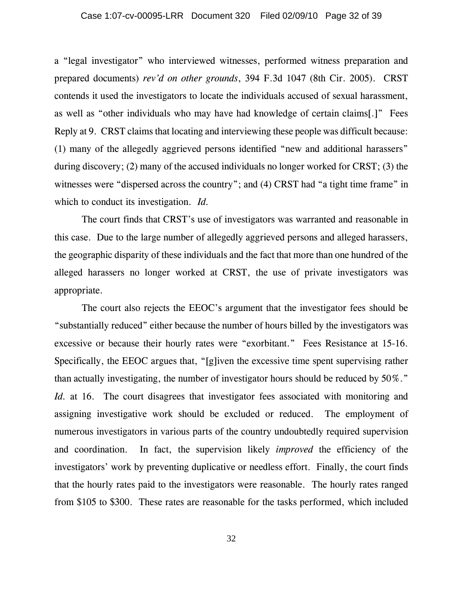a "legal investigator" who interviewed witnesses, performed witness preparation and prepared documents) *rev'd on other grounds*, 394 F.3d 1047 (8th Cir. 2005). CRST contends it used the investigators to locate the individuals accused of sexual harassment, as well as "other individuals who may have had knowledge of certain claims[.]" Fees Reply at 9. CRST claims that locating and interviewing these people was difficult because: (1) many of the allegedly aggrieved persons identified "new and additional harassers" during discovery; (2) many of the accused individuals no longer worked for CRST; (3) the witnesses were "dispersed across the country"; and (4) CRST had "a tight time frame" in which to conduct its investigation. *Id.*

The court finds that CRST's use of investigators was warranted and reasonable in this case. Due to the large number of allegedly aggrieved persons and alleged harassers, the geographic disparity of these individuals and the fact that more than one hundred of the alleged harassers no longer worked at CRST, the use of private investigators was appropriate.

The court also rejects the EEOC's argument that the investigator fees should be "substantially reduced" either because the number of hours billed by the investigators was excessive or because their hourly rates were "exorbitant." Fees Resistance at 15-16. Specifically, the EEOC argues that, "[g]iven the excessive time spent supervising rather than actually investigating, the number of investigator hours should be reduced by 50%." *Id.* at 16. The court disagrees that investigator fees associated with monitoring and assigning investigative work should be excluded or reduced. The employment of numerous investigators in various parts of the country undoubtedly required supervision and coordination. In fact, the supervision likely *improved* the efficiency of the investigators' work by preventing duplicative or needless effort. Finally, the court finds that the hourly rates paid to the investigators were reasonable. The hourly rates ranged from \$105 to \$300. These rates are reasonable for the tasks performed, which included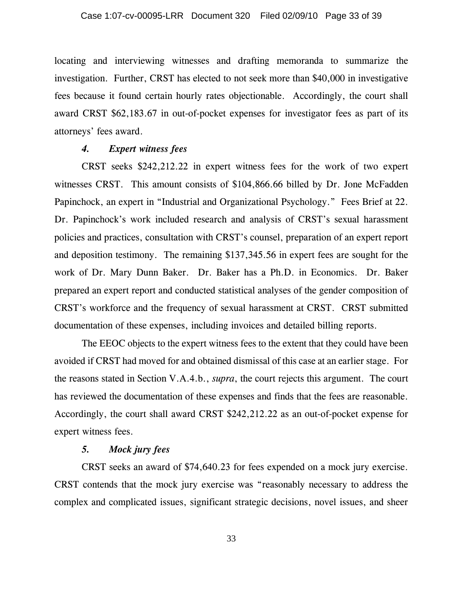locating and interviewing witnesses and drafting memoranda to summarize the investigation. Further, CRST has elected to not seek more than \$40,000 in investigative fees because it found certain hourly rates objectionable. Accordingly, the court shall award CRST \$62,183.67 in out-of-pocket expenses for investigator fees as part of its attorneys' fees award.

#### *4. Expert witness fees*

CRST seeks \$242,212.22 in expert witness fees for the work of two expert witnesses CRST. This amount consists of \$104,866.66 billed by Dr. Jone McFadden Papinchock, an expert in "Industrial and Organizational Psychology." Fees Brief at 22. Dr. Papinchock's work included research and analysis of CRST's sexual harassment policies and practices, consultation with CRST's counsel, preparation of an expert report and deposition testimony. The remaining \$137,345.56 in expert fees are sought for the work of Dr. Mary Dunn Baker. Dr. Baker has a Ph.D. in Economics. Dr. Baker prepared an expert report and conducted statistical analyses of the gender composition of CRST's workforce and the frequency of sexual harassment at CRST. CRST submitted documentation of these expenses, including invoices and detailed billing reports.

The EEOC objects to the expert witness fees to the extent that they could have been avoided if CRST had moved for and obtained dismissal of this case at an earlier stage. For the reasons stated in Section V.A.4.b., *supra*, the court rejects this argument. The court has reviewed the documentation of these expenses and finds that the fees are reasonable. Accordingly, the court shall award CRST \$242,212.22 as an out-of-pocket expense for expert witness fees.

# *5. Mock jury fees*

CRST seeks an award of \$74,640.23 for fees expended on a mock jury exercise. CRST contends that the mock jury exercise was "reasonably necessary to address the complex and complicated issues, significant strategic decisions, novel issues, and sheer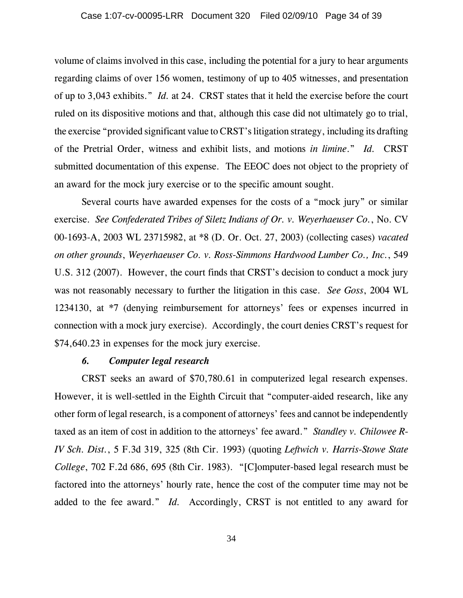volume of claims involved in this case, including the potential for a jury to hear arguments regarding claims of over 156 women, testimony of up to 405 witnesses, and presentation of up to 3,043 exhibits." *Id.* at 24. CRST states that it held the exercise before the court ruled on its dispositive motions and that, although this case did not ultimately go to trial, the exercise "provided significant value to CRST's litigation strategy, including its drafting of the Pretrial Order, witness and exhibit lists, and motions *in limine*." *Id.* CRST submitted documentation of this expense. The EEOC does not object to the propriety of an award for the mock jury exercise or to the specific amount sought.

Several courts have awarded expenses for the costs of a "mock jury" or similar exercise. *See Confederated Tribes of Siletz Indians of Or. v. Weyerhaeuser Co.*, No. CV 00-1693-A, 2003 WL 23715982, at \*8 (D. Or. Oct. 27, 2003) (collecting cases) *vacated on other grounds*, *Weyerhaeuser Co. v. Ross-Simmons Hardwood Lumber Co., Inc.*, 549 U.S. 312 (2007). However, the court finds that CRST's decision to conduct a mock jury was not reasonably necessary to further the litigation in this case. *See Goss*, 2004 WL 1234130, at \*7 (denying reimbursement for attorneys' fees or expenses incurred in connection with a mock jury exercise). Accordingly, the court denies CRST's request for \$74,640.23 in expenses for the mock jury exercise.

#### *6. Computer legal research*

CRST seeks an award of \$70,780.61 in computerized legal research expenses. However, it is well-settled in the Eighth Circuit that "computer-aided research, like any other form of legal research, is a component of attorneys' fees and cannot be independently taxed as an item of cost in addition to the attorneys' fee award." *Standley v. Chilowee R-IV Sch. Dist.*, 5 F.3d 319, 325 (8th Cir. 1993) (quoting *Leftwich v. Harris-Stowe State College*, 702 F.2d 686, 695 (8th Cir. 1983). "[C]omputer-based legal research must be factored into the attorneys' hourly rate, hence the cost of the computer time may not be added to the fee award." *Id.* Accordingly, CRST is not entitled to any award for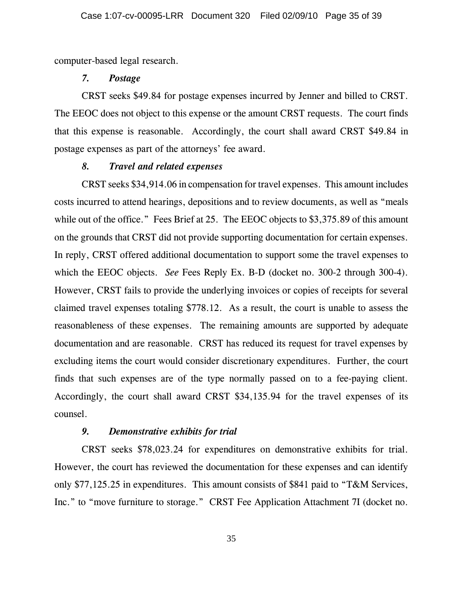computer-based legal research.

#### *7. Postage*

CRST seeks \$49.84 for postage expenses incurred by Jenner and billed to CRST. The EEOC does not object to this expense or the amount CRST requests. The court finds that this expense is reasonable. Accordingly, the court shall award CRST \$49.84 in postage expenses as part of the attorneys' fee award.

## *8. Travel and related expenses*

CRST seeks \$34,914.06 in compensation for travel expenses. This amount includes costs incurred to attend hearings, depositions and to review documents, as well as "meals while out of the office." Fees Brief at 25. The EEOC objects to \$3,375.89 of this amount on the grounds that CRST did not provide supporting documentation for certain expenses. In reply, CRST offered additional documentation to support some the travel expenses to which the EEOC objects. *See* Fees Reply Ex. B-D (docket no. 300-2 through 300-4). However, CRST fails to provide the underlying invoices or copies of receipts for several claimed travel expenses totaling \$778.12. As a result, the court is unable to assess the reasonableness of these expenses. The remaining amounts are supported by adequate documentation and are reasonable. CRST has reduced its request for travel expenses by excluding items the court would consider discretionary expenditures. Further, the court finds that such expenses are of the type normally passed on to a fee-paying client. Accordingly, the court shall award CRST \$34,135.94 for the travel expenses of its counsel.

### *9. Demonstrative exhibits for trial*

CRST seeks \$78,023.24 for expenditures on demonstrative exhibits for trial. However, the court has reviewed the documentation for these expenses and can identify only \$77,125.25 in expenditures. This amount consists of \$841 paid to "T&M Services, Inc." to "move furniture to storage." CRST Fee Application Attachment 7I (docket no.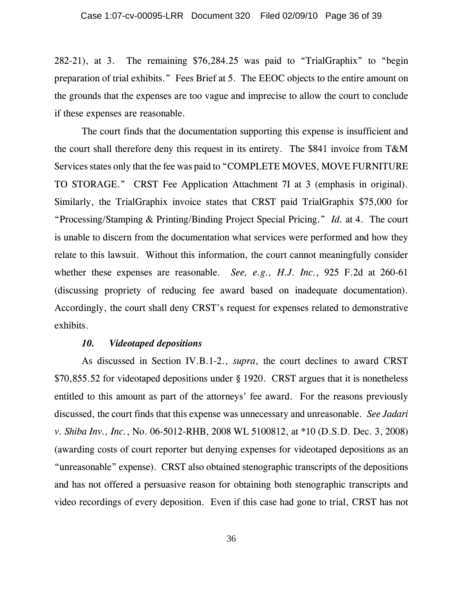282-21), at 3. The remaining \$76,284.25 was paid to "TrialGraphix" to "begin preparation of trial exhibits." Fees Brief at 5. The EEOC objects to the entire amount on the grounds that the expenses are too vague and imprecise to allow the court to conclude if these expenses are reasonable.

The court finds that the documentation supporting this expense is insufficient and the court shall therefore deny this request in its entirety. The \$841 invoice from T&M Services states only that the fee was paid to "COMPLETE MOVES, MOVE FURNITURE TO STORAGE." CRST Fee Application Attachment 7I at 3 (emphasis in original). Similarly, the TrialGraphix invoice states that CRST paid TrialGraphix \$75,000 for "Processing/Stamping & Printing/Binding Project Special Pricing." *Id.* at 4. The court is unable to discern from the documentation what services were performed and how they relate to this lawsuit. Without this information, the court cannot meaningfully consider whether these expenses are reasonable. *See, e.g., H.J. Inc.*, 925 F.2d at 260-61 (discussing propriety of reducing fee award based on inadequate documentation). Accordingly, the court shall deny CRST's request for expenses related to demonstrative exhibits.

#### *10. Videotaped depositions*

As discussed in Section IV.B.1-2., *supra*, the court declines to award CRST \$70,855.52 for videotaped depositions under § 1920. CRST argues that it is nonetheless entitled to this amount as part of the attorneys' fee award. For the reasons previously discussed, the court finds that this expense was unnecessary and unreasonable. *See Jadari v. Shiba Inv., Inc.*, No. 06-5012-RHB, 2008 WL 5100812, at \*10 (D.S.D. Dec. 3, 2008) (awarding costs of court reporter but denying expenses for videotaped depositions as an "unreasonable" expense). CRST also obtained stenographic transcripts of the depositions and has not offered a persuasive reason for obtaining both stenographic transcripts and video recordings of every deposition. Even if this case had gone to trial, CRST has not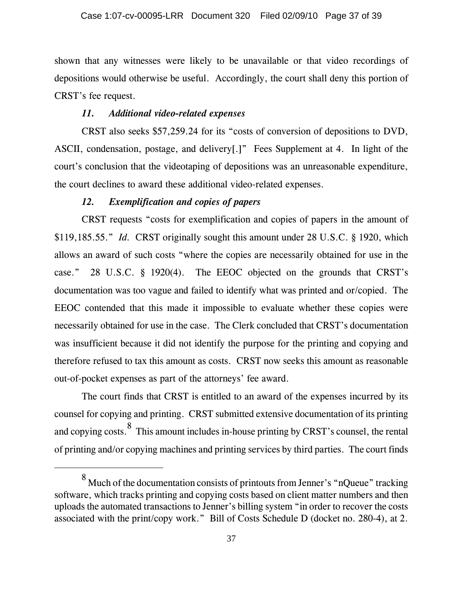shown that any witnesses were likely to be unavailable or that video recordings of depositions would otherwise be useful. Accordingly, the court shall deny this portion of CRST's fee request.

## *11. Additional video-related expenses*

CRST also seeks \$57,259.24 for its "costs of conversion of depositions to DVD, ASCII, condensation, postage, and delivery[.]" Fees Supplement at 4. In light of the court's conclusion that the videotaping of depositions was an unreasonable expenditure, the court declines to award these additional video-related expenses.

### *12. Exemplification and copies of papers*

CRST requests "costs for exemplification and copies of papers in the amount of \$119,185.55." *Id.* CRST originally sought this amount under 28 U.S.C. § 1920, which allows an award of such costs "where the copies are necessarily obtained for use in the case." 28 U.S.C. § 1920(4). The EEOC objected on the grounds that CRST's documentation was too vague and failed to identify what was printed and or/copied. The EEOC contended that this made it impossible to evaluate whether these copies were necessarily obtained for use in the case. The Clerk concluded that CRST's documentation was insufficient because it did not identify the purpose for the printing and copying and therefore refused to tax this amount as costs. CRST now seeks this amount as reasonable out-of-pocket expenses as part of the attorneys' fee award.

The court finds that CRST is entitled to an award of the expenses incurred by its counsel for copying and printing. CRST submitted extensive documentation of its printing and copying costs.  $\frac{8}{5}$  This amount includes in-house printing by CRST's counsel, the rental of printing and/or copying machines and printing services by third parties. The court finds

 $^8$  Much of the documentation consists of printouts from Jenner's "nQueue" tracking software, which tracks printing and copying costs based on client matter numbers and then uploads the automated transactions to Jenner's billing system "in order to recover the costs associated with the print/copy work." Bill of Costs Schedule D (docket no. 280-4), at 2.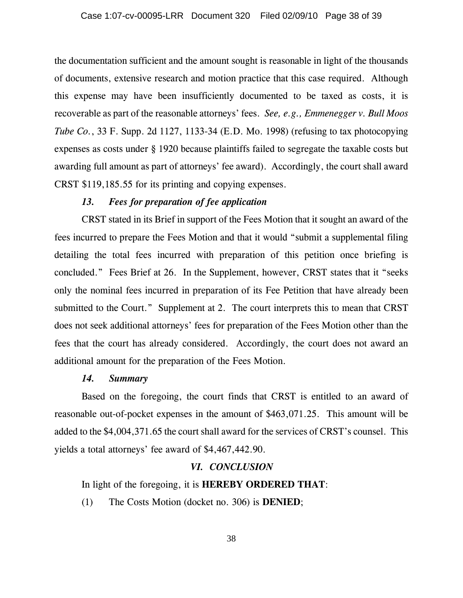the documentation sufficient and the amount sought is reasonable in light of the thousands of documents, extensive research and motion practice that this case required. Although this expense may have been insufficiently documented to be taxed as costs, it is recoverable as part of the reasonable attorneys' fees. *See, e.g., Emmenegger v. Bull Moos Tube Co.*, 33 F. Supp. 2d 1127, 1133-34 (E.D. Mo. 1998) (refusing to tax photocopying expenses as costs under § 1920 because plaintiffs failed to segregate the taxable costs but awarding full amount as part of attorneys' fee award). Accordingly, the court shall award CRST \$119,185.55 for its printing and copying expenses.

#### *13. Fees for preparation of fee application*

CRST stated in its Brief in support of the Fees Motion that it sought an award of the fees incurred to prepare the Fees Motion and that it would "submit a supplemental filing detailing the total fees incurred with preparation of this petition once briefing is concluded." Fees Brief at 26. In the Supplement, however, CRST states that it "seeks only the nominal fees incurred in preparation of its Fee Petition that have already been submitted to the Court." Supplement at 2. The court interprets this to mean that CRST does not seek additional attorneys' fees for preparation of the Fees Motion other than the fees that the court has already considered. Accordingly, the court does not award an additional amount for the preparation of the Fees Motion.

#### *14. Summary*

Based on the foregoing, the court finds that CRST is entitled to an award of reasonable out-of-pocket expenses in the amount of \$463,071.25. This amount will be added to the \$4,004,371.65 the court shall award for the services of CRST's counsel. This yields a total attorneys' fee award of \$4,467,442.90.

#### *VI. CONCLUSION*

In light of the foregoing, it is **HEREBY ORDERED THAT**:

(1) The Costs Motion (docket no. 306) is **DENIED**;